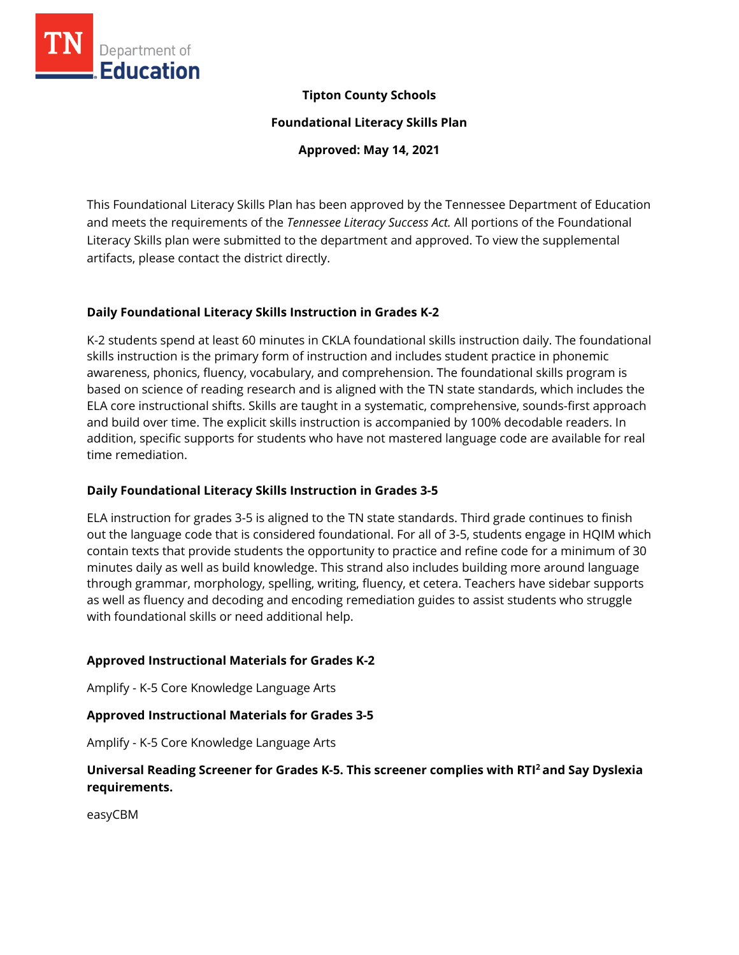

## **Tipton County Schools**

**Foundational Literacy Skills Plan**

**Approved: May 14, 2021**

This Foundational Literacy Skills Plan has been approved by the Tennessee Department of Education and meets the requirements of the *Tennessee Literacy Success Act.* All portions of the Foundational Literacy Skills plan were submitted to the department and approved. To view the supplemental artifacts, please contact the district directly.

## **Daily Foundational Literacy Skills Instruction in Grades K-2**

K-2 students spend at least 60 minutes in CKLA foundational skills instruction daily. The foundational skills instruction is the primary form of instruction and includes student practice in phonemic awareness, phonics, fluency, vocabulary, and comprehension. The foundational skills program is based on science of reading research and is aligned with the TN state standards, which includes the ELA core instructional shifts. Skills are taught in a systematic, comprehensive, sounds-first approach and build over time. The explicit skills instruction is accompanied by 100% decodable readers. In addition, specific supports for students who have not mastered language code are available for real time remediation.

## **Daily Foundational Literacy Skills Instruction in Grades 3-5**

ELA instruction for grades 3-5 is aligned to the TN state standards. Third grade continues to finish out the language code that is considered foundational. For all of 3-5, students engage in HQIM which contain texts that provide students the opportunity to practice and refine code for a minimum of 30 minutes daily as well as build knowledge. This strand also includes building more around language through grammar, morphology, spelling, writing, fluency, et cetera. Teachers have sidebar supports as well as fluency and decoding and encoding remediation guides to assist students who struggle with foundational skills or need additional help.

## **Approved Instructional Materials for Grades K-2**

Amplify - K-5 Core Knowledge Language Arts

## **Approved Instructional Materials for Grades 3-5**

Amplify - K-5 Core Knowledge Language Arts

# **Universal Reading Screener for Grades K-5. This screener complies with RTI<sup>2</sup>and Say Dyslexia requirements.**

easyCBM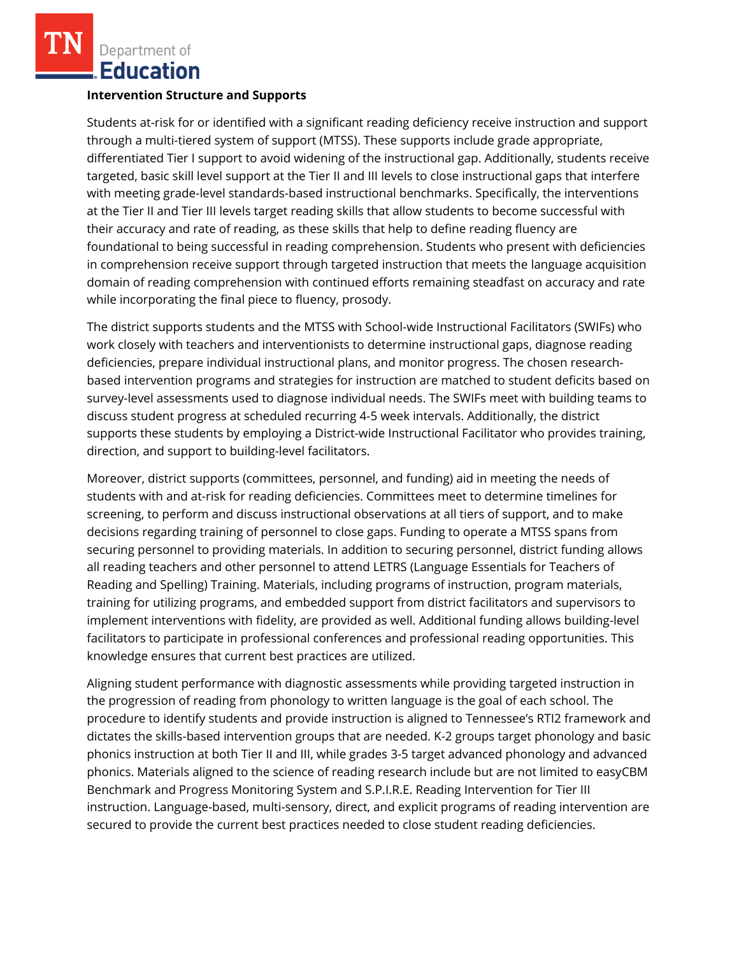Department of **Education** 

#### **Intervention Structure and Supports**

Students at-risk for or identified with a significant reading deficiency receive instruction and support through a multi-tiered system of support (MTSS). These supports include grade appropriate, differentiated Tier I support to avoid widening of the instructional gap. Additionally, students receive targeted, basic skill level support at the Tier II and III levels to close instructional gaps that interfere with meeting grade-level standards-based instructional benchmarks. Specifically, the interventions at the Tier II and Tier III levels target reading skills that allow students to become successful with their accuracy and rate of reading, as these skills that help to define reading fluency are foundational to being successful in reading comprehension. Students who present with deficiencies in comprehension receive support through targeted instruction that meets the language acquisition domain of reading comprehension with continued efforts remaining steadfast on accuracy and rate while incorporating the final piece to fluency, prosody.

The district supports students and the MTSS with School-wide Instructional Facilitators (SWIFs) who work closely with teachers and interventionists to determine instructional gaps, diagnose reading deficiencies, prepare individual instructional plans, and monitor progress. The chosen researchbased intervention programs and strategies for instruction are matched to student deficits based on survey-level assessments used to diagnose individual needs. The SWIFs meet with building teams to discuss student progress at scheduled recurring 4-5 week intervals. Additionally, the district supports these students by employing a District-wide Instructional Facilitator who provides training, direction, and support to building-level facilitators.

Moreover, district supports (committees, personnel, and funding) aid in meeting the needs of students with and at-risk for reading deficiencies. Committees meet to determine timelines for screening, to perform and discuss instructional observations at all tiers of support, and to make decisions regarding training of personnel to close gaps. Funding to operate a MTSS spans from securing personnel to providing materials. In addition to securing personnel, district funding allows all reading teachers and other personnel to attend LETRS (Language Essentials for Teachers of Reading and Spelling) Training. Materials, including programs of instruction, program materials, training for utilizing programs, and embedded support from district facilitators and supervisors to implement interventions with fidelity, are provided as well. Additional funding allows building-level facilitators to participate in professional conferences and professional reading opportunities. This knowledge ensures that current best practices are utilized.

Aligning student performance with diagnostic assessments while providing targeted instruction in the progression of reading from phonology to written language is the goal of each school. The procedure to identify students and provide instruction is aligned to Tennessee's RTI2 framework and dictates the skills-based intervention groups that are needed. K-2 groups target phonology and basic phonics instruction at both Tier II and III, while grades 3-5 target advanced phonology and advanced phonics. Materials aligned to the science of reading research include but are not limited to easyCBM Benchmark and Progress Monitoring System and S.P.I.R.E. Reading Intervention for Tier III instruction. Language-based, multi-sensory, direct, and explicit programs of reading intervention are secured to provide the current best practices needed to close student reading deficiencies.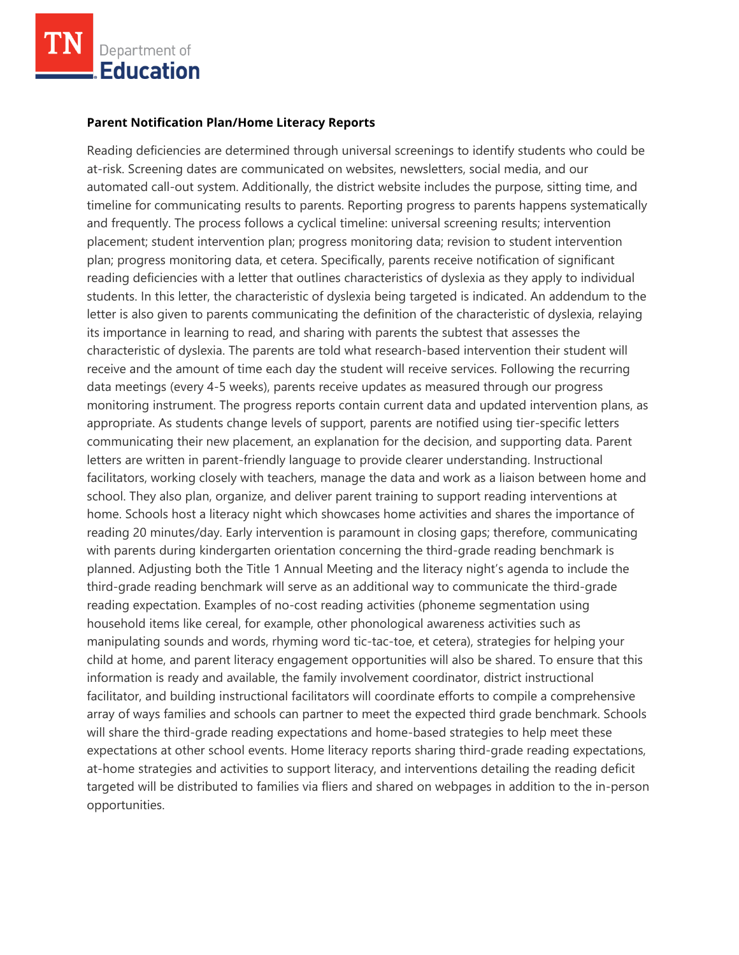

#### **Parent Notification Plan/Home Literacy Reports**

Reading deficiencies are determined through universal screenings to identify students who could be at-risk. Screening dates are communicated on websites, newsletters, social media, and our automated call-out system. Additionally, the district website includes the purpose, sitting time, and timeline for communicating results to parents. Reporting progress to parents happens systematically and frequently. The process follows a cyclical timeline: universal screening results; intervention placement; student intervention plan; progress monitoring data; revision to student intervention plan; progress monitoring data, et cetera. Specifically, parents receive notification of significant reading deficiencies with a letter that outlines characteristics of dyslexia as they apply to individual students. In this letter, the characteristic of dyslexia being targeted is indicated. An addendum to the letter is also given to parents communicating the definition of the characteristic of dyslexia, relaying its importance in learning to read, and sharing with parents the subtest that assesses the characteristic of dyslexia. The parents are told what research-based intervention their student will receive and the amount of time each day the student will receive services. Following the recurring data meetings (every 4-5 weeks), parents receive updates as measured through our progress monitoring instrument. The progress reports contain current data and updated intervention plans, as appropriate. As students change levels of support, parents are notified using tier-specific letters communicating their new placement, an explanation for the decision, and supporting data. Parent letters are written in parent-friendly language to provide clearer understanding. Instructional facilitators, working closely with teachers, manage the data and work as a liaison between home and school. They also plan, organize, and deliver parent training to support reading interventions at home. Schools host a literacy night which showcases home activities and shares the importance of reading 20 minutes/day. Early intervention is paramount in closing gaps; therefore, communicating with parents during kindergarten orientation concerning the third-grade reading benchmark is planned. Adjusting both the Title 1 Annual Meeting and the literacy night's agenda to include the third-grade reading benchmark will serve as an additional way to communicate the third-grade reading expectation. Examples of no-cost reading activities (phoneme segmentation using household items like cereal, for example, other phonological awareness activities such as manipulating sounds and words, rhyming word tic-tac-toe, et cetera), strategies for helping your child at home, and parent literacy engagement opportunities will also be shared. To ensure that this information is ready and available, the family involvement coordinator, district instructional facilitator, and building instructional facilitators will coordinate efforts to compile a comprehensive array of ways families and schools can partner to meet the expected third grade benchmark. Schools will share the third-grade reading expectations and home-based strategies to help meet these expectations at other school events. Home literacy reports sharing third-grade reading expectations, at-home strategies and activities to support literacy, and interventions detailing the reading deficit targeted will be distributed to families via fliers and shared on webpages in addition to the in-person opportunities.